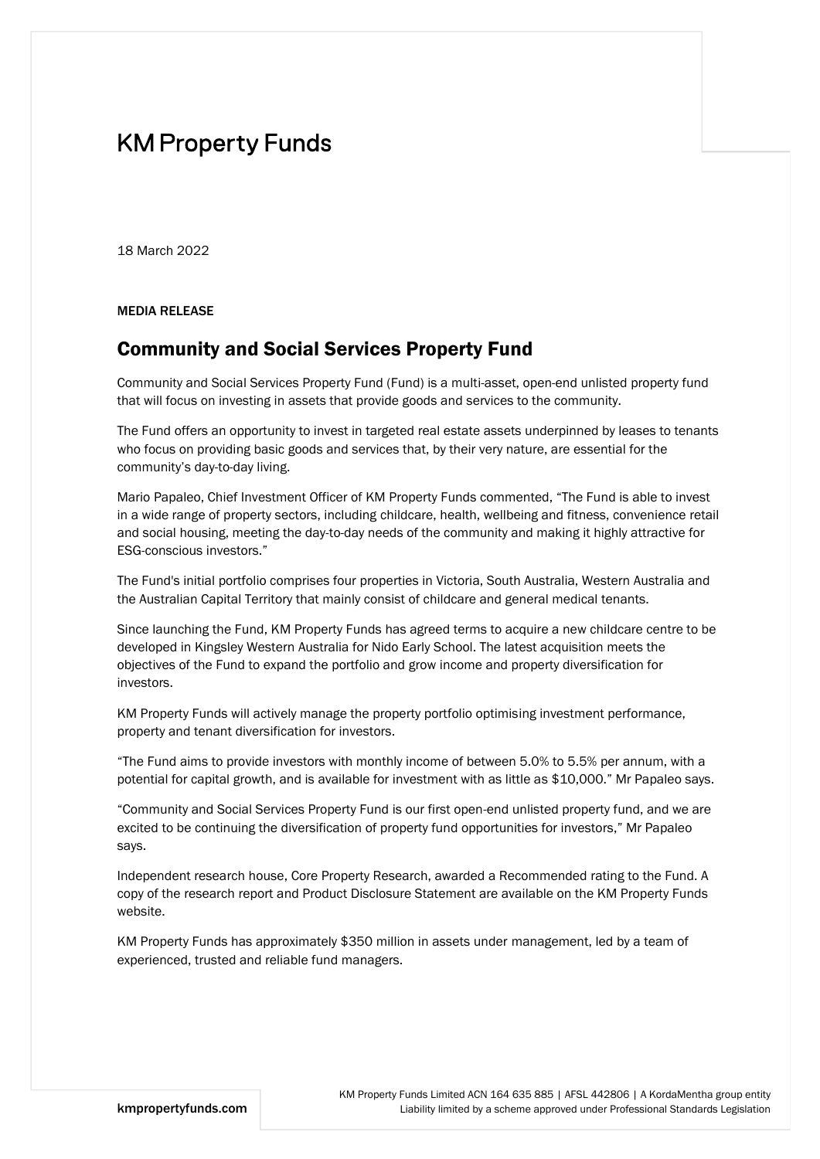# **KM Property Funds**

18 March 2022

MEDIA RELEASE

## Community and Social Services Property Fund

Community and Social Services Property Fund (Fund) is a multi-asset, open-end unlisted property fund that will focus on investing in assets that provide goods and services to the community.

The Fund offers an opportunity to invest in targeted real estate assets underpinned by leases to tenants who focus on providing basic goods and services that, by their very nature, are essential for the community's day-to-day living.

Mario Papaleo, Chief Investment Officer of KM Property Funds commented, "The Fund is able to invest in a wide range of property sectors, including childcare, health, wellbeing and fitness, convenience retail and social housing, meeting the day-to-day needs of the community and making it highly attractive for ESG-conscious investors."

The Fund's initial portfolio comprises four properties in Victoria, South Australia, Western Australia and the Australian Capital Territory that mainly consist of childcare and general medical tenants.

Since launching the Fund, KM Property Funds has agreed terms to acquire a new childcare centre to be developed in Kingsley Western Australia for Nido Early School. The latest acquisition meets the objectives of the Fund to expand the portfolio and grow income and property diversification for investors.

KM Property Funds will actively manage the property portfolio optimising investment performance, property and tenant diversification for investors.

"The Fund aims to provide investors with monthly income of between 5.0% to 5.5% per annum, with a potential for capital growth, and is available for investment with as little as \$10,000." Mr Papaleo says.

"Community and Social Services Property Fund is our first open-end unlisted property fund, and we are excited to be continuing the diversification of property fund opportunities for investors," Mr Papaleo says.

Independent research house, Core Property Research, awarded a Recommended rating to the Fund. A copy of the research report and Product Disclosure Statement are available on the KM Property Funds website.

KM Property Funds has approximately \$350 million in assets under management, led by a team of experienced, trusted and reliable fund managers.